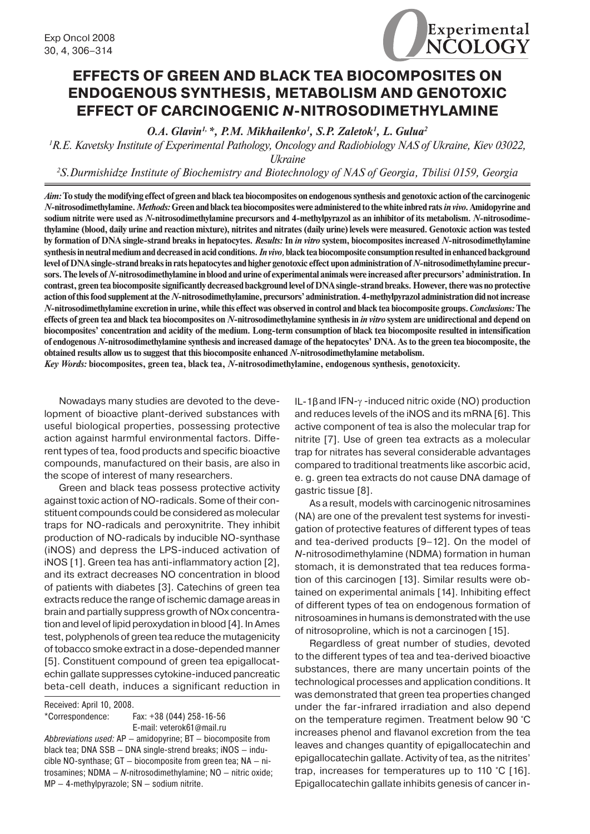# **EFFECTS OF GREEN AND BLACK TEA BIOCOMPOSITES ON ENDOGENOUS SYNTHESIS, METABOLISM AND GENOTOXIC EFFECT OF CARCINOGENIC** *N***-NITROSODIMETHYLAMINE**

*O.A. Glavin1, \*, P.M. Mikhailenko1 , S.P. Zaletok1 , L. Gulua2*

*1 R.E. Kavetsky Institute of Experimental Pathology, Oncology and Radiobiology NAS of Ukraine, Kiev 03022,* 

*Ukraine*

*2 S.Durmishidze Institute of Biochemistry and Biotechnology of NAS of Georgia, Tbilisi 0159, Georgia*

*Aim:* **To study the modifying effect of green and black tea biocomposites on endogenous synthesis and genotoxic action of the carcinogenic**  *N-***nitrosodimethylamine.** *Methods:* **Green and black tea biocomposites were administered to the white inbred rats** *in vivo.* **Amidopyrine and sodium nitrite were used as** *N***-nitrosodimethylamine precursors and 4-methylpyrazol as an inhibitor of its metabolism.** *N***-nitrosodimethylamine (blood, daily urine and reaction mixture), nitrites and nitrates (daily urine) levels were measured. Genotoxic action was tested by formation of DNA single-strand breaks in hepatocytes.** *Results:* **In** *in vitro* **system, biocomposites increased** *N***-nitrosodimethylamine synthesis in neutral medium and decreased in acid conditions.** *In vivo,* **black tea biocomposite consumption resulted in enhanced background level of DNA single-strand breaks in rats hepatocytes and higher genotoxic effect upon administration of** *N***-nitrosodimethylamine precursors. The levels of** *N***-nitrosodimethylamine in blood and urine of experimental animals were increased after precursors' administration. In contrast, green tea biocomposite significantly decreased background level of DNA single-strand breaks. However, there was no protective action of this food supplement at the** *N***-nitrosodimethylamine, precursors' administration. 4-methylpyrazol administration did not increase**  *N***-nitrosodimethylamine excretion in urine, while this effect was observed in control and black tea biocomposite groups.** *Conclusions:* **The effects of green tea and black tea biocomposites on** *N***-nitrosodimethylamine synthesis in** *in vitro* **system are unidirectional and depend on biocomposites' concentration and acidity of the medium. Long-term consumption of black tea biocomposite resulted in intensification of endogenous** *N***-nitrosodimethylamine synthesis and increased damage of the hepatocytes' DNA. As to the green tea biocomposite, the obtained results allow us to suggest that this biocomposite enhanced** *N***-nitrosodimethylamine metabolism.**

*Key Words:* **biocomposites, green tea, black tea,** *N***-nitrosodimethylamine, endogenous synthesis, genotoxicity.**

Nowadays many studies are devoted to the development of bioactive plant-derived substances with useful biological properties, possessing protective action against harmful environmental factors. Different types of tea, food products and specific bioactive compounds, manufactured on their basis, are also in the scope of interest of many researchers.

Green and black teas possess protective activity against toxic action of NO-radicals. Some of their constituent compounds could be considered as molecular traps for NO-radicals and peroxynitrite. They inhibit production of NO-radicals by inducible NO-synthase (iNOS) and depress the LPS-induced activation of iNOS [1]. Green tea has anti-inflammatory action [2], and its extract decreases NO concentration in blood of patients with diabetes [3]. Catechins of green tea extracts reduce the range of ischemic damage areas in brain and partially suppress growth of NOx concentration and level of lipid peroxydation in blood [4]. In Ames test, polyphenols of green tea reduce the mutagenicity of tobacco smoke extract in a dose-depended manner [5]. Constituent compound of green tea epigallocatechin gallate suppresses cytokine-induced pancreatic beta-cell death, induces a significant reduction in

Received: April 10, 2008.

\*Correspondence: Fax: +38 (044) 258-16-56 E-mail: veterok61@mail.ru

*Abbreviations used:* AP — amidopyrine; BT — biocomposite from black tea; DNA SSB — DNA single-strend breaks; iNOS — inducible NO-synthase; GT — biocomposite from green tea; NA — nitrosamines; NDMA — *N*-nitrosodimethylamine; NO — nitric oxide; MP — 4-methylpyrazole; SN — sodium nitrite.

IL-1βand IFN-γ -induced nitric oxide (NO) production and reduces levels of the iNOS and its mRNA [6]. This active component of tea is also the molecular trap for nitrite [7]. Use of green tea extracts as a molecular trap for nitrates has several considerable advantages compared to traditional treatments like ascorbic acid, e. g. green tea extracts do not cause DNA damage of gastric tissue [8].

As a result, models with carcinogenic nitrosamines (NA) are one of the prevalent test systems for investigation of protective features of different types of teas and tea-derived products [9–12]. On the model of *N*-nitrosodimethylamine (NDMA) formation in human stomach, it is demonstrated that tea reduces formation of this carcinogen [13]. Similar results were obtained on experimental animals [14]. Inhibiting effect of different types of tea on endogenous formation of nitrosoamines in humans is demonstrated with the use of nitrosoproline, which is not a carcinogen [15].

Regardless of great number of studies, devoted to the different types of tea and tea-derived bioactive substances, there are many uncertain points of the technological processes and application conditions. It was demonstrated that green tea properties changed under the far-infrared irradiation and also depend on the temperature regimen. Treatment below 90 °C increases phenol and flavanol excretion from the tea leaves and changes quantity of epigallocatechin and epigallocatechin gallate. Activity of tea, as the nitrites' trap, increases for temperatures up to 110 °C [16]. Epigallocatechin gallate inhibits genesis of cancer in-

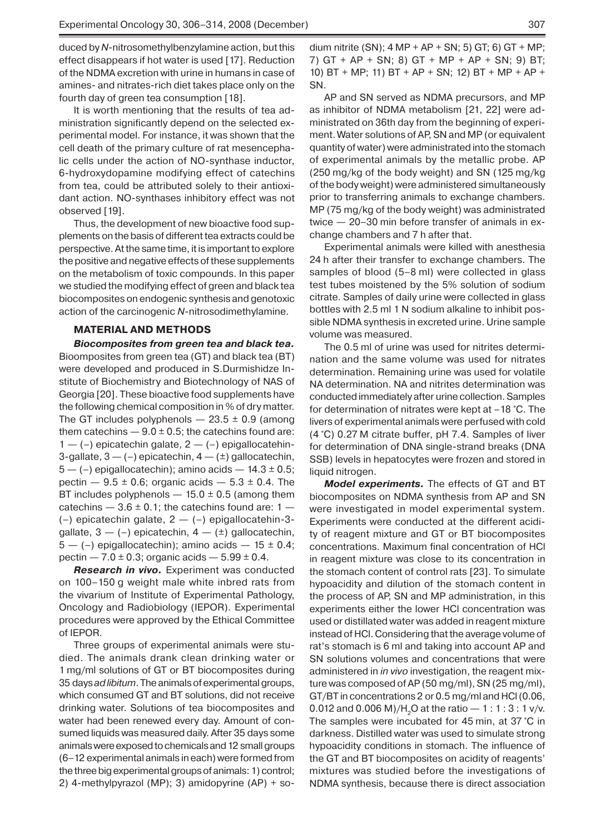duced by *N*-nitrosomethylbenzylamine action, but this effect disappears if hot water is used [17]. Reduction of the NDMA excretion with urine in humans in case of amines- and nitrates-rich diet takes place only on the fourth day of green tea consumption [18].

It is worth mentioning that the results of tea administration significantly depend on the selected experimental model. For instance, it was shown that the cell death of the primary culture of rat mesencephalic cells under the action of NO-synthase inductor, 6-hydroxydopamine modifying effect of catechins from tea, could be attributed solely to their antioxidant action. NO-synthases inhibitory effect was not observed [19].

Thus, the development of new bioactive food supplements on the basis of different tea extracts could be perspective. At the same time, it is important to explore the positive and negative effects of these supplements on the metabolism of toxic compounds. In this paper we studied the modifying effect of green and black tea biocomposites on endogenic synthesis and genotoxic action of the carcinogenic *N*-nitrosodimethylamine.

### **MATERIAL AND METHODS**

*Biocomposites from green tea and black tea.* Bioomposites from green tea (GT) and black tea (BT) were developed and produced in S.Durmishidze Institute of Biochemistry and Biotechnology of NAS of Georgia [20]. These bioactive food supplements have the following chemical composition in % of dry matter. The GT includes polyphenols  $-23.5 \pm 0.9$  (among them catechins  $-9.0 \pm 0.5$ ; the catechins found are:  $1 - (-)$  epicatechin galate,  $2 - (-)$  epigallocatehin-3-gallate,  $3 - (-)$  epicatechin,  $4 - (\pm)$  gallocatechin,  $5 - (-)$  epigallocatechin); amino acids  $-14.3 \pm 0.5$ ; pectin  $-9.5 \pm 0.6$ ; organic acids  $-5.3 \pm 0.4$ . The BT includes polyphenols  $-$  15.0  $\pm$  0.5 (among them catechins  $-3.6 \pm 0.1$ ; the catechins found are:  $1 -$ (–) epicatechin galate, 2 — (–) epigallocatehin-3gallate,  $3 - (-)$  epicatechin,  $4 - (+)$  gallocatechin,  $5 - (-)$  epigallocatechin); amino acids  $- 15 \pm 0.4$ ; pectin  $-7.0 \pm 0.3$ ; organic acids  $-5.99 \pm 0.4$ .

*Research in vivo.* Experiment was conducted on 100–150 g weight male white inbred rats from the vivarium of Institute of Experimental Pathology, Oncology and Radiobiology (IEPOR). Experimental procedures were approved by the Ethical Committee of IEPOR.

Three groups of experimental animals were studied. The animals drank clean drinking water or 1 mg/ml solutions of GT or BT biocomposites during 35 days *ad libitum*. The animals of experimental groups, which consumed GT and BT solutions, did not receive drinking water. Solutions of tea biocomposites and water had been renewed every day. Amount of consumed liquids was measured daily. After 35 days some animals were exposed to chemicals and 12 small groups (6–12 experimental animals in each) were formed from the three big experimental groups of animals: 1) control; 2) 4-methylpyrazol (MP); 3) amidopyrine (AP) + sodium nitrite (SN);  $4 MP + AP + SN$ ; 5) GT; 6) GT + MP; 7) GT + AP + SN; 8) GT + MP + AP + SN; 9) BT; 10) BT + MP; 11) BT + AP + SN; 12) BT + MP + AP + SN.

AP and SN served as NDMA precursors, and MP as inhibitor of NDMA metabolism [21, 22] were administrated on 36th day from the beginning of experiment. Water solutions of AP, SN and MP (or equivalent quantity of water) were administrated into the stomach of experimental animals by the metallic probe. AP (250 mg/kg of the body weight) and SN (125 mg/kg of the body weight) were administered simultaneously prior to transferring animals to exchange chambers. MP (75 mg/kg of the body weight) was administrated twice — 20–30 min before transfer of animals in exchange chambers and 7 h after that.

Experimental animals were killed with anesthesia 24 h after their transfer to exchange chambers. The samples of blood (5–8 ml) were collected in glass test tubes moistened by the 5% solution of sodium citrate. Samples of daily urine were collected in glass bottles with 2.5 ml 1 N sodium alkaline to inhibit possible NDMA synthesis in excreted urine. Urine sample volume was measured.

The 0.5 ml of urine was used for nitrites determination and the same volume was used for nitrates determination. Remaining urine was used for volatile NA determination. NA and nitrites determination was conducted immediately after urine collection. Samples for determination of nitrates were kept at –18 °C. The livers of experimental animals were perfused with cold (4 °C) 0.27 M citrate buffer, рН 7.4. Samples of liver for determination of DNA single-strand breaks (DNA SSB) levels in hepatocytes were frozen and stored in liquid nitrogen.

*Model experiments.* The effects of GT and BT biocomposites on NDMA synthesis from AP and SN were investigated in model experimental system. Experiments were conducted at the different acidity of reagent mixture and GT or BT biocomposites concentrations. Maximum final concentration of HCl in reagent mixture was close to its concentration in the stomach content of control rats [23]. To simulate hypoacidity and dilution of the stomach content in the process of AP, SN and MP administration, in this experiments either the lower HCl concentration was used or distillated water was added in reagent mixture instead of HCl. Considering that the average volume of rat's stomach is 6 ml and taking into account AP and SN solutions volumes and concentrations that were administered in *in vivo* investigation, the reagent mixture was composed of AP (50 mg/ml), SN (25 mg/ml), GT/BT in concentrations 2 or 0.5 mg/ml and HCl (0.06, 0.012 and 0.006 M)/H<sub>2</sub>O at the ratio  $-1:1:3:1$  v/v. The samples were incubated for 45 min, at 37 °C in darkness. Distilled water was used to simulate strong hypoacidity conditions in stomach. The influence of the GT and BT biocomposites on acidity of reagents' mixtures was studied before the investigations of NDMA synthesis, because there is direct association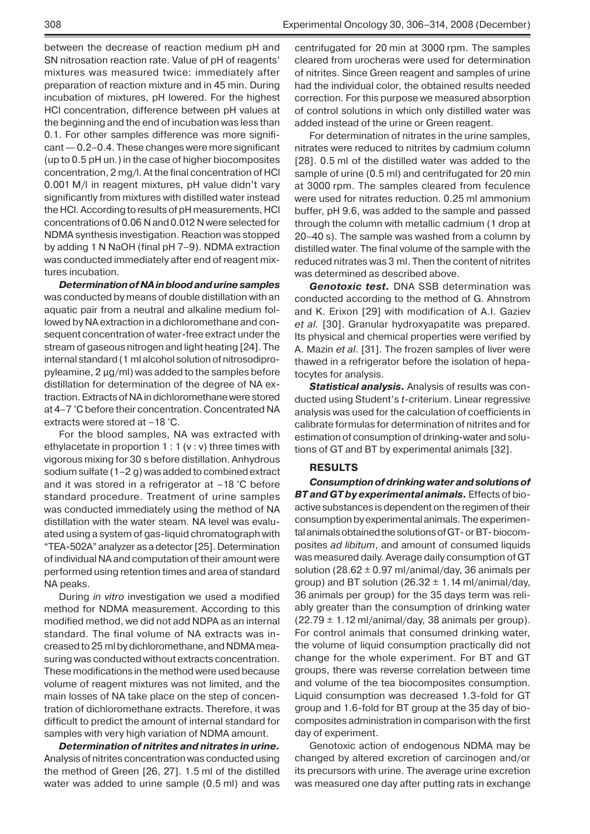between the decrease of reaction medium pH and SN nitrosation reaction rate. Value of pH of reagents' mixtures was measured twice: immediately after preparation of reaction mixture and in 45 min. During incubation of mixtures, pH lowered. For the highest HCl concentration, difference between pH values at the beginning and the end of incubation was less than 0.1. For other samples difference was more significant — 0.2–0.4. These changes were more significant (up to 0.5 pH un.) in the case of higher biocomposites concentration, 2 mg/l. At the final concentration of HCl 0.001 M/l in reagent mixtures, pH value didn't vary significantly from mixtures with distilled water instead the HCl. According to results of pH measurements, HCl concentrations of 0.06 N and 0.012 N were selected for NDMA synthesis investigation. Reaction was stopped by adding 1 N NaOH (final pH 7–9). NDMA extraction was conducted immediately after end of reagent mixtures incubation.

*Determination of NA in blood and urine samples*  was conducted by means of double distillation with an aquatic pair from a neutral and alkaline medium followed by NA extraction in a dichloromethane and consequent concentration of water-free extract under the stream of gaseous nitrogen and light heating [24]. The internal standard (1 ml alcohol solution of nitrosodipropyleamine, 2 μg/ml) was added to the samples before distillation for determination of the degree of NA extraction. Extracts of NA in dichloromethane were stored at 4–7 °C before their concentration. Concentrated NA extracts were stored at –18 °C.

For the blood samples, NA was extracted with ethylacetate in proportion 1 : 1 (v : v) three times with vigorous mixing for 30 s before distillation. Anhydrous sodium sulfate (1–2 g) was added to combined extract and it was stored in a refrigerator at –18 °C before standard procedure. Treatment of urine samples was conducted immediately using the method of NA distillation with the water steam. NA level was evaluated using a system of gas-liquid chromatograph with "ТЕА-502А" analyzer as a detector [25]. Determination of individual NA and computation of their amount were performed using retention times and area of standard NA peaks.

During *in vitro* investigation we used a modified method for NDMA measurement. According to this modified method, we did not add NDPA as an internal standard. The final volume of NA extracts was increased to 25 ml by dichloromethane, and NDMA measuring was conducted without extracts concentration. These modifications in the method were used because volume of reagent mixtures was not limited, and the main losses of NA take place on the step of concentration of dichloromethane extracts. Therefore, it was difficult to predict the amount of internal standard for samples with very high variation of NDMA amount.

*Determination of nitrites and nitrates in urine.* Analysis of nitrites concentration was conducted using the method of Green [26, 27]. 1.5 ml of the distilled water was added to urine sample (0.5 ml) and was

centrifugated for 20 min at 3000 rpm. The samples cleared from urocheras were used for determination of nitrites. Since Green reagent and samples of urine had the individual color, the obtained results needed correction. For this purpose we measured absorption of control solutions in which only distilled water was added instead of the urine or Green reagent.

For determination of nitrates in the urine samples, nitrates were reduced to nitrites by cadmium column [28]. 0.5 ml of the distilled water was added to the sample of urine (0.5 ml) and centrifugated for 20 min at 3000 rpm. The samples cleared from feculence were used for nitrates reduction. 0.25 ml ammonium buffer, pH 9.6, was added to the sample and passed through the column with metallic cadmium (1 drop at 20–40 s). The sample was washed from a column by distilled water. The final volume of the sample with the reduced nitrates was 3 ml. Then the content of nitrites was determined as described above.

*Genotoxic test.* DNA SSB determination was conducted according to the method of G. Ahnstrom and K. Erixon [29] with modification of A.I. Gaziev *et al.* [30]. Granular hydroxyapatite was prepared. Its physical and chemical properties were verified by A. Mazin *et al*. [31]. The frozen samples of liver were thawed in a refrigerator before the isolation of hepatocytes for analysis.

*Statistical analysis.* Analysis of results was conducted using Student's *t*-criterium. Linear regressive analysis was used for the calculation of coefficients in calibrate formulas for determination of nitrites and for estimation of consumption of drinking-water and solutions of GT and BT by experimental animals [32].

## **RESULTS**

*Consumption of drinking water and solutions of BT and GT by experimental animals.* Effects of bioactive substances is dependent on the regimen of their consumption by experimental animals. The experimental animals obtained the solutions of GT- or BT- biocomposites *ad libitum*, and amount of consumed liquids was measured daily. Average daily consumption of GT solution (28.62  $\pm$  0.97 ml/animal/day, 36 animals per group) and BT solution (26.32  $\pm$  1.14 ml/animal/day, 36 animals per group) for the 35 days term was reliably greater than the consumption of drinking water  $(22.79 \pm 1.12 \text{ ml}/\text{animal}/\text{day}, 38 \text{ animals per group}).$ For control animals that consumed drinking water, the volume of liquid consumption practically did not change for the whole experiment. For BT and GT groups, there was reverse correlation between time and volume of the tea biocomposites consumption. Liquid consumption was decreased 1.3-fold for GT group and 1.6-fold for BT group at the 35 day of biocomposites administration in comparison with the first day of experiment.

Genotoxic action of endogenous NDMA may be changed by altered excretion of carcinogen and/or its precursors with urine. The average urine excretion was measured one day after putting rats in exchange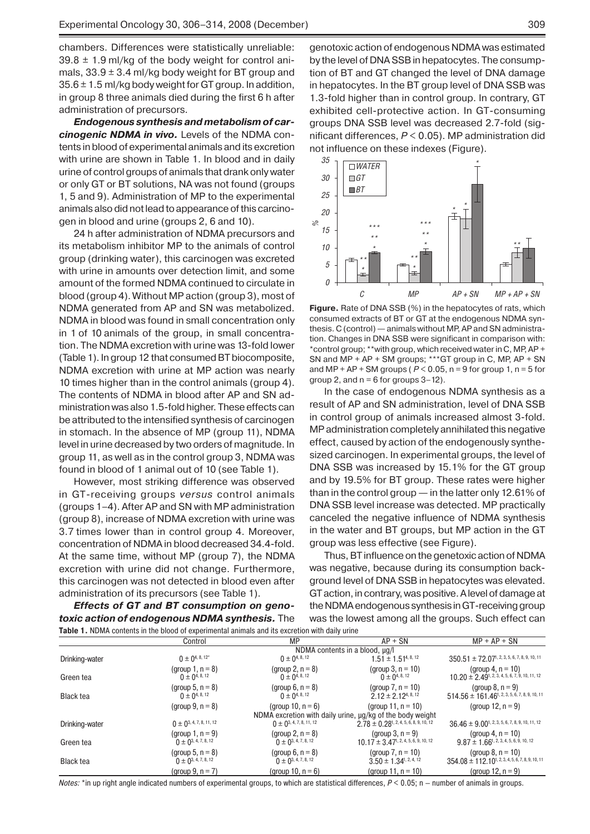chambers. Differences were statistically unreliable:  $39.8 \pm 1.9$  ml/kg of the body weight for control animals,  $33.9 \pm 3.4$  ml/kg body weight for BT group and  $35.6 \pm 1.5$  ml/kg body weight for GT group. In addition, in group 8 three animals died during the first 6 h after administration of precursors.

*Endogenous synthesis and metabolism of carcinogenic NDMA in vivo.* Levels of the NDMA contents in blood of experimental animals and its excretion with urine are shown in Table 1. In blood and in daily urine of control groups of animals that drank only water or only GT or BT solutions, NA was not found (groups 1, 5 and 9). Administration of MP to the experimental animals also did not lead to appearance of this carcinogen in blood and urine (groups 2, 6 and 10).

24 h after administration of NDMA precursors and its metabolism inhibitor MP to the animals of control group (drinking water), this carcinogen was excreted with urine in amounts over detection limit, and some amount of the formed NDMA continued to circulate in blood (group 4). Without MP action (group 3), most of NDMA generated from AP and SN was metabolized. NDMA in blood was found in small concentration only in 1 of 10 animals of the group, in small concentration. The NDMA excretion with urine was 13-fold lower (Table 1). In group 12 that consumed BT biocomposite, NDMA excretion with urine at MP action was nearly 10 times higher than in the control animals (group 4). The contents of NDMA in blood after AP and SN administration was also 1.5-fold higher. These effects can be attributed to the intensified synthesis of carcinogen in stomach. In the absence of MP (group 11), NDMA level in urine decreased by two orders of magnitude. In group 11, as well as in the control group 3, NDMA was found in blood of 1 animal out of 10 (see Table 1).

However, most striking difference was observed in GT-receiving groups *versus* control animals (groups 1–4). After AP and SN with MP administration (group 8), increase of NDMA excretion with urine was 3.7 times lower than in control group 4. Moreover, concentration of NDMA in blood decreased 34.4-fold. At the same time, without MP (group 7), the NDMA excretion with urine did not change. Furthermore, this carcinogen was not detected in blood even after administration of its precursors (see Table 1).

*Effects of GT and BT consumption on genotoxic action of endogenous NDMA synthesis.* The **Table 1.** NDMA contents in the blood of experimental animals and its excretion with daily urine

genotoxic action of endogenous NDMA was estimated by the level of DNA SSB in hepatocytes. The consumption of BT and GT changed the level of DNA damage in hepatocytes. In the BT group level of DNA SSB was 1.3-fold higher than in control group. In contrary, GT exhibited cell-protective action. In GT-consuming groups DNA SSB level was decreased 2.7-fold (significant differences, *P* < 0.05). MP administration did not influence on these indexes (Figure).



**Figure.** Rate of DNA SSB (%) in the hepatocytes of rats, which consumed extracts of BT or GT at the endogenous NDMA synthesis. C (control) — animals without MP, AP and SN administration. Changes in DNA SSB were significant in comparison with: \*control group; \*\*with group, which received water in C, MP, AP + SN and MP + AP + SM groups; \*\*\*GT group in C, MP, AP + SN and  $MP + AP + SM$  groups ( $P < 0.05$ , n = 9 for group 1, n = 5 for group 2, and  $n = 6$  for groups  $3-12$ ).

In the case of endogenous NDMA synthesis as a result of AP and SN administration, level of DNA SSB in control group of animals increased almost 3-fold. MP administration completely annihilated this negative effect, caused by action of the endogenously synthesized carcinogen. In experimental groups, the level of DNA SSB was increased by 15.1% for the GT group and by 19.5% for BT group. These rates were higher than in the control group — in the latter only 12.61% of DNA SSB level increase was detected. MP practically canceled the negative influence of NDMA synthesis in the water and BT groups, but MP action in the GT group was less effective (see Figure).

Thus, BT influence on the genetoxic action of NDMA was negative, because during its consumption background level of DNA SSB in hepatocytes was elevated. GT action, in contrary, was positive. A level of damage at the NDMA endogenous synthesis in GT-receiving group was the lowest among all the groups. Such effect can

|                  | Control                                           | МP                                                | $AP + SN$                                                                          | $MP + AP + SN$                                                                           |  |
|------------------|---------------------------------------------------|---------------------------------------------------|------------------------------------------------------------------------------------|------------------------------------------------------------------------------------------|--|
|                  | NDMA contents in a blood, µq/l                    |                                                   |                                                                                    |                                                                                          |  |
| Drinking-water   | $0 \pm 0^{4, 8, 12^*}$                            | $0 \pm 0^{4, 8, 12}$                              | $1.51 \pm 1.51^{4,8,12}$                                                           | $350.51 \pm 72.07$ <sup>1</sup> , 2, 3, 5, 6, 7, 8, 9, 10, 11                            |  |
| Green tea        | (group 1, $n = 8$ )<br>$0 \pm 0^{4, 8, 12}$       | (group 2, $n = 8$ )<br>$0 \pm 0^{4, 8, 12}$       | (group 3, $n = 10$ )<br>$0 \pm 0^{4, 8, 12}$                                       | (group 4, $n = 10$ )<br>$10.20 \pm 2.49$ <sup>1</sup> , 2, 3, 4, 5, 6, 7, 9, 10, 11, 12  |  |
| <b>Black tea</b> | (group 5, $n = 8$ )<br>$0 \pm 0^{4, 8, 12}$       | (group 6, $n = 8$ )<br>$0 \pm 0^{4, 8, 12}$       | (group $7, n = 10$ )<br>$2.12 \pm 2.12^{4,8,12}$                                   | (group $8$ , $n = 9$ )<br>$514.56 \pm 161.46$ <sup>1</sup> , 2, 3, 5, 6, 7, 8, 9, 10, 11 |  |
|                  | (group $9, n = 8$ )                               | (group 10, $n = 6$ )                              | (group 11, $n = 10$ )<br>NDMA excretion with daily urine, ug/kg of the body weight | (group 12, $n = 9$ )                                                                     |  |
| Drinking-water   | $0 \pm 0^{3, 4, 7, 8, 11, 12}$                    | $0 \pm 0^{3, 4, 7, 8, 11, 12}$                    | $2.78 \pm 0.28$ <sup>1</sup> , 2, 4, 5, 6, 8, 9, 10, 12                            | $36.46 \pm 9.00$ <sup>1, 2, 3, 5, 6, 7, 8, 9, 10, 11, 12</sup>                           |  |
| Green tea        | (group 1, $n = 9$ )<br>$0 \pm 0^{3, 4, 7, 8, 12}$ | (group 2, $n = 8$ )<br>$0 \pm 0^{3, 4, 7, 8, 12}$ | (group $3, n = 9$ )<br>$10.17 \pm 3.47$ <sup>1</sup> , 2, 4, 5, 6, 9, 10, 12       | (group 4, $n = 10$ )<br>$9.87 \pm 1.66$ <sup>1, 2, 3, 4, 5, 6, 9, 10, 12</sup>           |  |
| <b>Black tea</b> | (group 5, $n = 8$ )<br>$0 \pm 0^{3, 4, 7, 8, 12}$ | (group 6, $n = 8$ )<br>$0 \pm 0^{3, 4, 7, 8, 12}$ | (group $7, n = 10$ )<br>$3.50 \pm 1.34^{1,2,4,12}$                                 | (group $8, n = 10$ )<br>$354.08 \pm 112.10$ <sup>1, 2, 3, 4, 5, 6, 7, 8, 9, 10, 11</sup> |  |
|                  | (group 9, $n = 7$ )                               | (group 10, $n = 6$ )                              | (group 11, $n = 10$ )                                                              | (group 12, $n = 9$ )                                                                     |  |

*Notes:* \*in up right angle indicated numbers of experimental groups, to which are statistical differences, *P* < 0.05; n — number of animals in groups.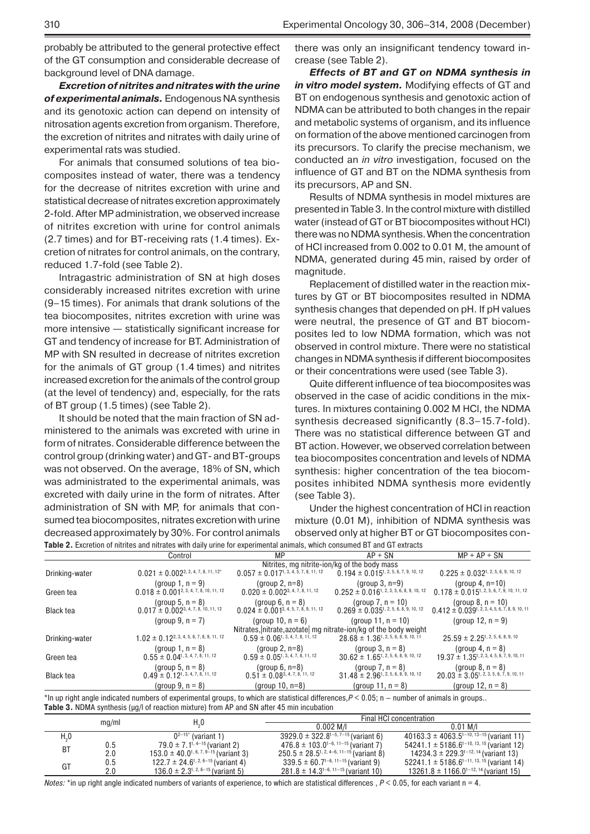probably be attributed to the general protective effect of the GT consumption and considerable decrease of background level of DNA damage.

*Excretion of nitrites and nitrates with the urine of experimental animals.* Endogenous NA synthesis and its genotoxic action can depend on intensity of nitrosation agents excretion from organism. Therefore, the excretion of nitrites and nitrates with daily urine of experimental rats was studied.

For animals that consumed solutions of tea biocomposites instead of water, there was a tendency for the decrease of nitrites excretion with urine and statistical decrease of nitrates excretion approximately 2-fold. After MP administration, we observed increase of nitrites excretion with urine for control animals (2.7 times) and for BT-receiving rats (1.4 times). Excretion of nitrates for control animals, on the contrary, reduced 1.7-fold (see Table 2).

Intragastric administration of SN at high doses considerably increased nitrites excretion with urine (9–15 times). For animals that drank solutions of the tea biocomposites, nitrites excretion with urine was more intensive — statistically significant increase for GT and tendency of increase for BT. Administration of MP with SN resulted in decrease of nitrites excretion for the animals of GT group (1.4 times) and nitrites increased excretion for the animals of the control group (at the level of tendency) and, especially, for the rats of BT group (1.5 times) (see Table 2).

It should be noted that the main fraction of SN administered to the animals was excreted with urine in form of nitrates. Considerable difference between the control group (drinking water) and GT- and BT-groups was not observed. On the average, 18% of SN, which was administrated to the experimental animals, was excreted with daily urine in the form of nitrates. After administration of SN with MP, for animals that consumed tea biocomposites, nitrates excretion with urine decreased approximately by 30%. For control animals **Table 2.** Excretion of nitrites and nitrates with daily urine for experimental animals, which consumed BT and GT extracts

there was only an insignificant tendency toward increase (see Table 2).

*Effects of BT and GT on NDMA synthesis in in vitro model system.* Modifying effects of GT and BT on endogenous synthesis and genotoxic action of NDMA can be attributed to both changes in the repair and metabolic systems of organism, and its influence on formation of the above mentioned carcinogen from its precursors. To clarify the precise mechanism, we conducted an *in vitro* investigation, focused on the influence of GT and BT on the NDMA synthesis from its precursors, AP and SN.

Results of NDMA synthesis in model mixtures are presented in Table 3. In the control mixture with distilled water (instead of GT or BT biocomposites without HCl) there was no NDMA synthesis. When the concentration of HCl increased from 0.002 to 0.01 M, the amount of NDMA, generated during 45 min, raised by order of magnitude.

Replacement of distilled water in the reaction mixtures by GT or BT biocomposites resulted in NDMA synthesis changes that depended on pH. If pH values were neutral, the presence of GT and BT biocomposites led to low NDMA formation, which was not observed in control mixture. There were no statistical changes in NDMA synthesis if different biocomposites or their concentrations were used (see Table 3).

Quite different influence of tea biocomposites was observed in the case of acidic conditions in the mixtures. In mixtures containing 0.002 M HCl, the NDMA synthesis decreased significantly (8.3–15.7-fold). There was no statistical difference between GT and BT action. However, we observed correlation between tea biocomposites concentration and levels of NDMA synthesis: higher concentration of the tea biocomposites inhibited NDMA synthesis more evidently (see Table 3).

Under the highest concentration of HCl in reaction mixture (0.01 M), inhibition of NDMA synthesis was observed only at higher BT or GT biocomposites con-

|                  | Control                                                         | MP.                                          | $AP + SN$                                                 | $MP + AP + SN$                                                  |  |
|------------------|-----------------------------------------------------------------|----------------------------------------------|-----------------------------------------------------------|-----------------------------------------------------------------|--|
|                  | Nitrites, mg nitrite-ion/kg of the body mass                    |                                              |                                                           |                                                                 |  |
| Drinking-water   | $0.021 \pm 0.002^{2, 3, 4, 7, 8, 11, 12^{*}}$                   | $0.057 \pm 0.017^{1, 3, 4, 5, 7, 8, 11, 12}$ | $0.194 \pm 0.015^{1, 2, 5, 6, 7, 9, 10, 12}$              | $0.225 \pm 0.032^{1, 2, 5, 6, 9, 10, 12}$                       |  |
|                  | (group 1, $n = 9$ )                                             | (group $2, n=8$ )                            | $(group 3, n=9)$                                          | (group 4, $n=10$ )                                              |  |
| Green tea        | $0.018 \pm 0.001^{2, 3, 4, 7, 8, 10, 11, 12}$                   | $0.020 \pm 0.002^{3, 4, 7, 8, 11, 12}$       | $0.252 \pm 0.016$ <sup>1</sup> , 2, 3, 5, 6, 8, 9, 10, 12 | $0.178 \pm 0.015$ <sup>1</sup> , 2, 5, 6, 7, 9, 10, 11, 12      |  |
|                  | (group 5, $n = 8$ )                                             | (group 6, $n = 8$ )                          | (group 7, $n = 10$ )                                      | (group $8, n = 10$ )                                            |  |
| <b>Black tea</b> | $0.017 \pm 0.002^{3, 4, 7, 8, 10, 11, 12}$                      | $0.024 \pm 0.001^{3, 4, 5, 7, 8, 9, 11, 12}$ | $0.269 \pm 0.035$ <sup>1</sup> , 2, 5, 6, 8, 9, 10, 12    | $0.412 \pm 0.039$ <sup>1</sup> , 2, 3, 4, 5, 6, 7, 8, 9, 10, 11 |  |
|                  | (group 9, $n = 7$ )                                             | (group 10, $n = 6$ )                         | (group 11, $n = 10$ )                                     | (group 12, $n = 9$ )                                            |  |
|                  | Nitrates, nitrate, azotate mg nitrate-ion/kg of the body weight |                                              |                                                           |                                                                 |  |
| Drinking-water   | $1.02 \pm 0.12^{2, 3, 4, 5, 6, 7, 8, 9, 11, 12}$                | $0.59 \pm 0.06^{1, 3, 4, 7, 8, 11, 12}$      | $28.68 \pm 1.36^{1, 2, 5, 6, 8, 9, 10, 11}$               | $25.59 \pm 2.25^{1, 2, 5, 6, 8, 9, 10}$                         |  |
|                  | (group 1, $n = 8$ )                                             | $(group 2, n=8)$                             | (group $3, n = 8$ )                                       | (group 4, $n = 8$ )                                             |  |
| Green tea        | $0.55 \pm 0.04^{1, 3, 4, 7, 8, 11, 12}$                         | $0.59 \pm 0.05^{1, 3, 4, 7, 8, 11, 12}$      | $30.62 \pm 1.65^{1, 2, 5, 6, 8, 9, 10, 12}$               | $19.37 \pm 1.35^{1, 2, 3, 4, 5, 6, 7, 9, 10, 11}$               |  |
|                  | (group 5, $n = 8$ )                                             | (group $6, n=8$ )                            | (group $7, n = 8$ )                                       | (group $8, n = 8$ )                                             |  |
| <b>Black tea</b> | $0.49 \pm 0.12$ <sup>1, 3, 4, 7, 8, 11, 12</sup>                | $0.51 \pm 0.08^{3, 4, 7, 8, 11, 12}$         | $31.48 \pm 2.96^{1, 2, 5, 6, 8, 9, 10, 12}$               | $20.03 \pm 3.05$ <sup>1</sup> , 2, 3, 5, 6, 7, 9, 10, 11        |  |
|                  | (group 9, $n = 8$ )                                             | (group $10, n=8$ )                           | (group 11, $n = 8$ )                                      | (group 12, $n = 8$ )                                            |  |

\*In up right angle indicated numbers of experimental groups, to which are statistical differences, $P < 0.05$ ; n – number of animals in groups.. **Table 3. NDMA** synthesis (µg/l of reaction mixture) from AP and SN after 45 min incubation

|                |       | $H_{\alpha}0$                                      | Final HCI concentration                         |                                                           |  |
|----------------|-------|----------------------------------------------------|-------------------------------------------------|-----------------------------------------------------------|--|
|                | mg/ml |                                                    | $0.002$ M/I                                     | $0.01$ M/I                                                |  |
| H <sub>0</sub> |       | $0^{2-15^*}$ (variant 1)                           | $3929.0 \pm 322.8^{1-5,7-15}$ (variant 6)       | 40163.3 ± 4063.5 $1-10$ , $13-15$ (variant 11)            |  |
| <b>BT</b>      | 0.5   | 79.0 $\pm$ 7.1 <sup>1, 4–15</sup> (variant 2)      | $476.8 \pm 103.0^{1-6, 11-15}$ (variant 7)      | 54241.1 $\pm$ 5186.6 <sup>1-10, 13, 15</sup> (variant 12) |  |
|                | 2.0   | $153.0 \pm 40.0^{1.6, 7, 9-15}$ (variant 3)        | $250.5 \pm 28.5^{1, 2, 4-6, 11-15}$ (variant 8) | 14234.3 ± 229.3 <sup>1-12, 14</sup> (variant 13)          |  |
| GT             | 0.5   | 122.7 $\pm$ 24.6 <sup>1, 2, 6–15</sup> (variant 4) | $339.5 \pm 60.7^{1-6, 11-15}$ (variant 9)       | 52241.1 $\pm$ 5186.6 <sup>1–11, 13, 15</sup> (variant 14) |  |
|                | 2.0   | 136.0 $\pm$ 2.3 <sup>1, 2, 6–15</sup> (variant 5)  | $281.8 \pm 14.3^{1-6, 11-15}$ (variant 10)      | 13261.8 $\pm$ 1166.0 <sup>1–12, 14</sup> (variant 15)     |  |

*Notes:* \*in up right angle indicated numbers of variants of experience, to which are statistical differences ,  $P < 0.05$ , for each variant n = 4.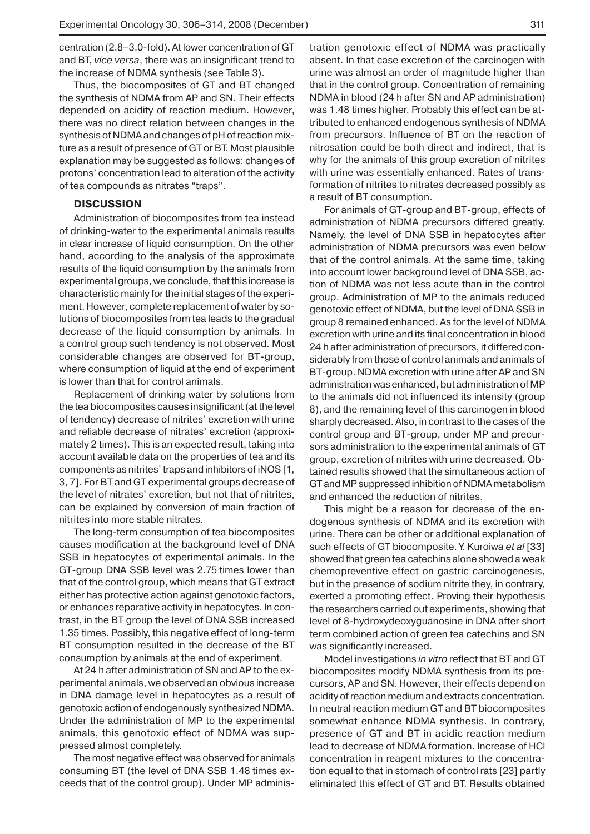centration (2.8–3.0-fold). At lower concentration of GT and BT, *vice versa*, there was an insignificant trend to the increase of NDMA synthesis (see Table 3).

Thus, the biocomposites of GT and BT changed the synthesis of NDMA from AP and SN. Their effects depended on acidity of reaction medium. However, there was no direct relation between changes in the synthesis of NDMA and changes of pH of reaction mixture as a result of presence of GT or BT. Most plausible explanation may be suggested as follows: changes of protons' concentration lead to alteration of the activity of tea compounds as nitrates "traps".

#### **DISCUSSION**

Administration of biocomposites from tea instead of drinking-water to the experimental animals results in clear increase of liquid consumption. On the other hand, according to the analysis of the approximate results of the liquid consumption by the animals from experimental groups, we conclude, that this increase is characteristic mainly for the initial stages of the experiment. However, complete replacement of water by solutions of biocomposites from tea leads to the gradual decrease of the liquid consumption by animals. In a control group such tendency is not observed. Most considerable changes are observed for BT-group, where consumption of liquid at the end of experiment is lower than that for control animals.

Replacement of drinking water by solutions from the tea biocomposites causes insignificant (at the level of tendency) decrease of nitrites' excretion with urine and reliable decrease of nitrates' excretion (approximately 2 times). This is an expected result, taking into account available data on the properties of tea and its components as nitrites' traps and inhibitors of iNOS [1, 3, 7]. For BT and GT experimental groups decrease of the level of nitrates' excretion, but not that of nitrites, can be explained by conversion of main fraction of nitrites into more stable nitrates.

The long-term consumption of tea biocomposites causes modification at the background level of DNA SSB in hepatocytes of experimental animals. In the GT-group DNA SSB level was 2.75 times lower than that of the control group, which means that GT extract either has protective action against genotoxic factors, or enhances reparative activity in hepatocytes. In contrast, in the BT group the level of DNA SSB increased 1.35 times. Possibly, this negative effect of long-term BT consumption resulted in the decrease of the BT consumption by animals at the end of experiment.

At 24 h after administration of SN and AP to the experimental animals, we observed an obvious increase in DNA damage level in hepatocytes as a result of genotoxic action of endogenously synthesized NDMA. Under the administration of MP to the experimental animals, this genotoxic effect of NDMA was suppressed almost completely.

The most negative effect was observed for animals consuming BT (the level of DNA SSB 1.48 times exceeds that of the control group). Under MP adminis-

tration genotoxic effect of NDMA was practically absent. In that case excretion of the carcinogen with urine was almost an order of magnitude higher than that in the control group. Concentration of remaining NDMA in blood (24 h after SN and AP administration) was 1.48 times higher. Probably this effect can be attributed to enhanced endogenous synthesis of NDMA from precursors. Influence of BT on the reaction of nitrosation could be both direct and indirect, that is why for the animals of this group excretion of nitrites with urine was essentially enhanced. Rates of transformation of nitrites to nitrates decreased possibly as a result of BT consumption.

For animals of GT-group and BT-group, effects of administration of NDMA precursors differed greatly. Namely, the level of DNA SSB in hepatocytes after administration of NDMA precursors was even below that of the control animals. At the same time, taking into account lower background level of DNA SSB, action of NDMA was not less acute than in the control group. Administration of MP to the animals reduced genotoxic effect of NDMA, but the level of DNA SSB in group 8 remained enhanced. As for the level of NDMA excretion with urine and its final concentration in blood 24 h after administration of precursors, it differed considerably from those of control animals and animals of BT-group. NDMA excretion with urine after AP and SN administration was enhanced, but administration of MP to the animals did not influenced its intensity (group 8), and the remaining level of this carcinogen in blood sharply decreased. Also, in contrast to the cases of the control group and BT-group, under MP and precursors administration to the experimental animals of GT group, excretion of nitrites with urine decreased. Obtained results showed that the simultaneous action of GT and MP suppressed inhibition of NDMA metabolism and enhanced the reduction of nitrites.

This might be a reason for decrease of the endogenous synthesis of NDMA and its excretion with urine. There can be other or additional explanation of such effects of GT biocomposite. Y. Kuroiwa *et al* [33] showed that green tea catechins alone showed a weak chemopreventive effect on gastric carcinogenesis, but in the presence of sodium nitrite they, in contrary, exerted a promoting effect. Proving their hypothesis the researchers carried out experiments, showing that level of 8-hydroxydeoxyguanosine in DNA after short term combined action of green tea catechins and SN was significantly increased.

Model investigations *in vitro* reflect that BT and GT biocomposites modify NDMA synthesis from its precursors, AP and SN. However, their effects depend on acidity of reaction medium and extracts concentration. In neutral reaction medium GT and BT biocomposites somewhat enhance NDMA synthesis. In contrary, presence of GT and BT in acidic reaction medium lead to decrease of NDMA formation. Increase of HCl concentration in reagent mixtures to the concentration equal to that in stomach of control rats [23] partly eliminated this effect of GT and BT. Results obtained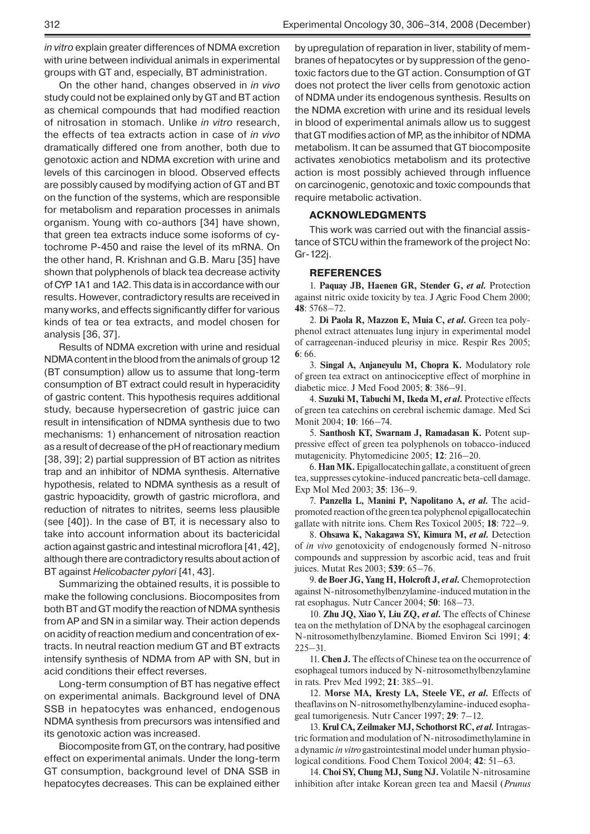*in vitro* explain greater differences of NDMA excretion with urine between individual animals in experimental groups with GT and, especially, BT administration.

On the other hand, changes observed in *in vivo* study could not be explained only by GT and BT action as chemical compounds that had modified reaction of nitrosation in stomach. Unlike *in vitro* research, the effects of tea extracts action in case of *in vivo* dramatically differed one from another, both due to genotoxic action and NDMA excretion with urine and levels of this carcinogen in blood. Observed effects are possibly caused by modifying action of GT and BT on the function of the systems, which are responsible for metabolism and reparation processes in animals organism. Young with co-authors [34] have shown, that green tea extracts induce some isoforms of cytochrome P-450 and raise the level of its mRNA. On the other hand, R. Krishnan and G.B. Maru [35] have shown that polyphenols of black tea decrease activity of CYP1A1 and 1A2. This data is in accordance with our results. However, contradictory results are received in many works, and effects significantly differ for various kinds of tea or tea extracts, and model chosen for analysis [36, 37].

Results of NDMA excretion with urine and residual NDMA content in the blood from the animals of group 12 (BT consumption) allow us to assume that long-term consumption of BT extract could result in hyperacidity of gastric content. This hypothesis requires additional study, because hypersecretion of gastric juice can result in intensification of NDMA synthesis due to two mechanisms: 1) enhancement of nitrosation reaction as a result of decrease of the pH of reactionary medium [38, 39]; 2) partial suppression of BT action as nitrites trap and an inhibitor of NDMA synthesis. Alternative hypothesis, related to NDMA synthesis as a result of gastric hypoacidity, growth of gastric microflora, and reduction of nitrates to nitrites, seems less plausible (see [40]). In the case of BT, it is necessary also to take into account information about its bactericidal action against gastric and intestinal microflora [41, 42], although there are contradictory results about action of BT against *Helicobacter pylori* [41, 43].

Summarizing the obtained results, it is possible to make the following conclusions. Biocomposites from both BT and GT modify the reaction of NDMA synthesis from AP and SN in a similar way. Their action depends on acidity of reaction medium and concentration of extracts. In neutral reaction medium GT and BT extracts intensify synthesis of NDMA from AP with SN, but in acid conditions their effect reverses.

Long-term consumption of BT has negative effect on experimental animals. Background level of DNA SSB in hepatocytes was enhanced, endogenous NDMA synthesis from precursors was intensified and its genotoxic action was increased.

Biocomposite from GT, on the contrary, had positive effect on experimental animals. Under the long-term GT consumption, background level of DNA SSB in hepatocytes decreases. This can be explained either

by upregulation of reparation in liver, stability of membranes of hepatocytes or by suppression of the genotoxic factors due to the GT action. Consumption of GT does not protect the liver cells from genotoxic action of NDMA under its endogenous synthesis. Results on the NDMA excretion with urine and its residual levels in blood of experimental animals allow us to suggest that GT modifies action of MP, as the inhibitor of NDMA metabolism. It can be assumed that GT biocomposite activates xenobiotics metabolism and its protective action is most possibly achieved through influence on carcinogenic, genotoxic and toxic compounds that require metabolic activation.

#### **ACKNOWLEDGMENTS**

This work was carried out with the financial assistance of STCU within the framework of the project No: Gr-122j.

#### **REFERENCES**

1. **Paquay JB, Haenen GR, Stender G,** *et al.* Protection against nitric oxide toxicity by tea. J Agric Food Chem 2000; **48**: 5768–72.

2. **Di Paola R, Mazzon E, Muia C,** *et al.* Green tea polyphenol extract attenuates lung injury in experimental model of carrageenan-induced pleurisy in mice. Respir Res 2005; **6**: 66.

3. **Singal A, Anjaneyulu M, Chopra K.** Modulatory role of green tea extract on antinociceptive effect of morphine in diabetic mice. J Med Food 2005; **8**: 386–91.

4. **Suzuki M, Tabuchi M, Ikeda M,** *et al.* Protective effects of green tea catechins on cerebral ischemic damage. Med Sci Monit 2004; **10**: 166–74.

5. **Santhosh KT, Swarnam J, Ramadasan K.** Potent suppressive effect of green tea polyphenols on tobacco-induced mutagenicity. Phytomedicine 2005; **12**: 216–20.

6. **Han MK.** Epigallocatechin gallate, a constituent of green tea, suppresses cytokine-induced pancreatic beta-cell damage. Exp Mol Med 2003; **35**: 136–9.

7. **Panzella L, Manini P, Napolitano A,** *et al.* The acidpromoted reaction of the green tea polyphenol epigallocatechin gallate with nitrite ions. Chem Res Toxicol 2005; **18**: 722–9.

8. **Ohsawa K, Nakagawa SY, Kimura M,** *et al.* Detection of *in vivo* genotoxicity of endogenously formed N-nitroso compounds and suppression by ascorbic acid, teas and fruit juices. Mutat Res 2003; **539**: 65–76.

9. **de Boer JG, Yang H, Holcroft J,** *et al.* Chemoprotection against N-nitrosomethylbenzylamine-induced mutation in the rat esophagus. Nutr Cancer 2004; **50**: 168–73.

10. **Zhu JQ, Xiao Y, Liu ZQ,** *et al.* The effects of Chinese tea on the methylation of DNA by the esophageal carcinogen N-nitrosomethylbenzylamine. Biomed Environ Sci 1991; **4**: 225–31.

11. **Chen J.** The effects of Chinese tea on the occurrence of esophageal tumors induced by N-nitrosomethylbenzylamine in rats. Prev Med 1992; **21**: 385–91.

12. **Morse MA, Kresty LA, Steele VE,** *et al.* Effects of theaflavins on N-nitrosomethylbenzylamine-induced esophageal tumorigenesis. Nutr Cancer 1997; **29**: 7–12.

13. **Krul CA, Zeilmaker MJ, Schothorst RC,** *et al.*Intragastric formation and modulation of N-nitrosodimethylamine in a dynamic *in vitro* gastrointestinal model under human physiological conditions. Food Chem Toxicol 2004; **42**: 51–63.

14. **Choi SY, Chung MJ, Sung NJ.** Volatile N-nitrosamine inhibition after intake Korean green tea and Maesil (*Prunus*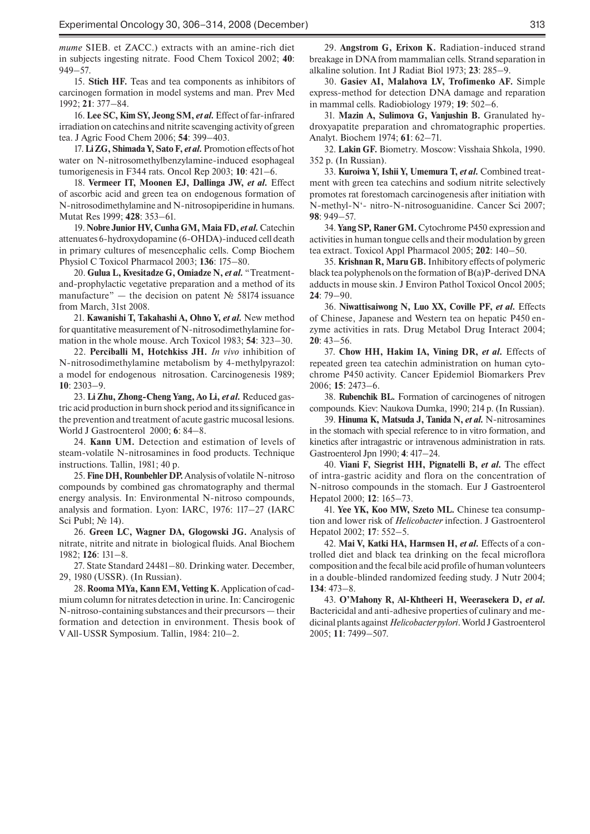*mume* SIEB. et ZACC.) extracts with an amine-rich diet in subjects ingesting nitrate. Food Chem Toxicol 2002; **40**: 949–57.

15. **Stich HF.** Teas and tea components as inhibitors of carcinogen formation in model systems and man. Prev Med 1992; **21**: 377–84.

16. **Lee SC, Kim SY, Jeong SM,** *et al.*Effect of far-infrared irradiation on catechins and nitrite scavenging activity of green tea. J Agric Food Chem 2006; **54**: 399–403.

17. **Li ZG, Shimada Y, Sato F,** *et al.*Promotion effects of hot water on N-nitrosomethylbenzylamine-induced esophageal tumorigenesis in F344 rats. Oncol Rep 2003; **10**: 421–6.

18. **Vermeer IT, Moonen EJ, Dallinga JW,** *et al.* Effect of ascorbic acid and green tea on endogenous formation of N-nitrosodimethylamine and N-nitrosopiperidine in humans. Mutat Res 1999; **428**: 353–61.

19. **Nobre Junior HV, Cunha GM, Maia FD,** *et al.* Catechin attenuates 6-hydroxydopamine (6-OHDA)-induced cell death in primary cultures of mesencephalic cells. Comp Biochem Physiol C Toxicol Pharmacol 2003; **136**: 175–80.

20. **Gulua L, Kvesitadze G, Omiadze N,** *et al.* "Treatmentand-prophylactic vegetative preparation and a method of its manufacture" — the decision on patent № 58174 issuance from March, 31st 2008.

21. **Kawanishi T, Takahashi A, Ohno Y,** *et al.* New method for quantitative measurement of N-nitrosodimethylamine formation in the whole mouse. Arch Toxicol 1983; **54**: 323–30.

22. **Perciballi M, Hotchkiss JH.** *In vivo* inhibition of N-nitrosodimethylamine metabolism by 4-methylpyrazol: a model for endogenous nitrosation. Carcinogenesis 1989; **10**: 2303–9.

23. **Li Zhu, Zhong-Cheng Yang, Ao Li,** *et al.* Reduced gastric acid production in burn shock period and its significance in the prevention and treatment of acute gastric mucosal lesions. World J Gastroenterol 2000; **6**: 84–8.

24. **Kann UM.** Detection and estimation of levels of steam-volatile N-nitrosamines in food products. Technique instructions. Tallin, 1981; 40 p.

25. **Fine DH, Rounbehler DP.** Analysis of volatile N-nitroso compounds by combined gas chromatography and thermal energy analysis. In: Environmental N-nitroso compounds, analysis and formation. Lyon: IARC, 1976: 117–27 (IARC Sci Publ; № 14).

26. **Green LC, Wagner DA, Glogowski JG.** Analysis of nitrate, nitrite and nitrate in biological fluids. Anal Biochem 1982; **126**: 131–8.

27. State Standard 24481–80. Drinking water. December, 29, 1980 (USSR). (In Russian).

28. **Rooma MYa, Kann EM, Vetting K.** Application of cadmium column for nitrates detection in urine. In: Cancirogenic N-nitroso-containing substances and their precursors — their formation and detection in environment. Thesis book of V All-USSR Symposium. Tallin, 1984: 210–2.

29. **Angstrom G, Erixon K.** Radiation-induced strand breakage in DNA from mammalian cells. Strand separation in alkaline solution. Int J Radiat Biol 1973; **23**: 285–9.

30. **Gasiev AI, Malahova LV, Trofimenko AF.** Simple express-method for detection DNA damage and reparation in mammal cells. Radiobiology 1979; **19**: 502–6.

31. **Mazin A, Sulimova G, Vanjushin B.** Granulated hydroxyapatite preparation and chromatographic properties. Analyt. Biochem 1974; **61**: 62–71.

32. **Lakin GF.** Biometry. Moscow: Visshaia Shkola, 1990. 352 p. (In Russian).

33. **Kuroiwa Y, Ishii Y, Umemura T,** *et al.* Combined treatment with green tea catechins and sodium nitrite selectively promotes rat forestomach carcinogenesis after initiation with N-methyl-N'- nitro-N-nitrosoguanidine. Cancer Sci 2007; **98**: 949–57.

34. **Yang SP, Raner GM.** Cytochrome P450 expression and activities in human tongue cells and their modulation by green tea extract. Toxicol Appl Pharmacol 2005; **202**: 140–50.

35. **Krishnan R, Maru GB.** Inhibitory effects of polymeric black tea polyphenols on the formation of B(a)P-derived DNA adducts in mouse skin. J Environ Pathol Toxicol Oncol 2005; **24**: 79–90.

36. **Niwattisaiwong N, Luo XX, Coville PF,** *et al.* Effects of Chinese, Japanese and Western tea on hepatic P450 enzyme activities in rats. Drug Metabol Drug Interact 2004; **20**: 43–56.

37. **Chow HH, Hakim IA, Vining DR,** *et al.* Effects of repeated green tea catechin administration on human cytochrome P450 activity. Cancer Epidemiol Biomarkers Prev 2006; **15**: 2473–6.

38. **Rubenchik BL.** Formation of carcinogenes of nitrogen compounds. Kiev: Naukova Dumka, 1990; 214 p. (In Russian).

39. **Hinuma K, Matsuda J, Tanida N,** *et al.* N-nitrosamines in the stomach with special reference to in vitro formation, and kinetics after intragastric or intravenous administration in rats. Gastroenterol Jpn 1990; **4**: 417–24.

40. **Viani F, Siegrist HH, Pignatelli B,** *et al.* The effect of intra-gastric acidity and flora on the concentration of N-nitroso compounds in the stomach. Eur J Gastroenterol Hepatol 2000; **12**: 165–73.

41. **Yee YK, Koo MW, Szeto ML.** Chinese tea consumption and lower risk of *Helicobacter* infection. J Gastroenterol Hepatol 2002; **17**: 552–5.

42. **Mai V, Katki HA, Harmsen H,** *et al.* Effects of a controlled diet and black tea drinking on the fecal microflora composition and the fecal bile acid profile of human volunteers in a double-blinded randomized feeding study. J Nutr 2004; **134**: 473–8.

43. **O'Mahony R, Al-Khtheeri H, Weerasekera D,** *et al.*  Bactericidal and anti-adhesive properties of culinary and medicinal plants against *Helicobacter pylori*. World J Gastroenterol 2005; **11**: 7499–507.